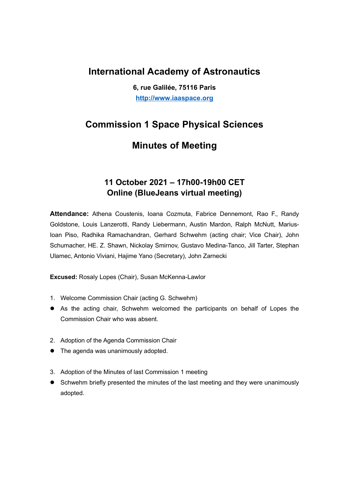## International Academy of Astronautics

6, rue Galilée, 75116 Paris http://www.iaaspace.org

# Commission 1 Space Physical Sciences

# Minutes of Meeting

### 11 October 2021 – 17h00-19h00 CET Online (BlueJeans virtual meeting)

Attendance: Athena Coustenis, Ioana Cozmuta, Fabrice Dennemont, Rao F., Randy Goldstone, Louis Lanzerotti, Randy Liebermann, Austin Mardon, Ralph McNutt, Marius-Ioan Piso, Radhika Ramachandran, Gerhard Schwehm (acting chair; Vice Chair), John Schumacher, HE. Z. Shawn, Nickolay Smirnov, Gustavo Medina-Tanco, Jill Tarter, Stephan Ulamec, Antonio Viviani, Hajime Yano (Secretary), John Zarnecki

Excused: Rosaly Lopes (Chair), Susan McKenna-Lawlor

- 1. Welcome Commission Chair (acting G. Schwehm)
- As the acting chair, Schwehm welcomed the participants on behalf of Lopes the Commission Chair who was absent.
- 2. Adoption of the Agenda Commission Chair
- The agenda was unanimously adopted.
- 3. Adoption of the Minutes of last Commission 1 meeting
- Schwehm briefly presented the minutes of the last meeting and they were unanimously adopted.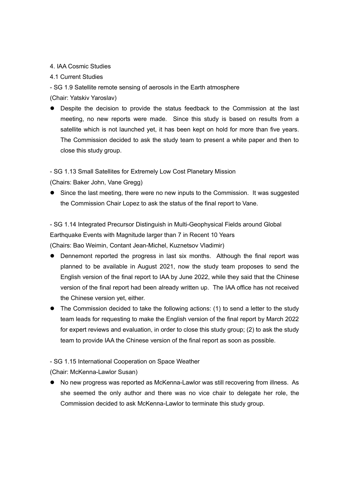#### 4. IAA Cosmic Studies

#### 4.1 Current Studies

- SG 1.9 Satellite remote sensing of aerosols in the Earth atmosphere

(Chair: Yatskiv Yaroslav)

 Despite the decision to provide the status feedback to the Commission at the last meeting, no new reports were made. Since this study is based on results from a satellite which is not launched yet, it has been kept on hold for more than five years. The Commission decided to ask the study team to present a white paper and then to close this study group.

- SG 1.13 Small Satellites for Extremely Low Cost Planetary Mission

(Chairs: Baker John, Vane Gregg)

 Since the last meeting, there were no new inputs to the Commission. It was suggested the Commission Chair Lopez to ask the status of the final report to Vane.

- SG 1.14 Integrated Precursor Distinguish in Multi-Geophysical Fields around Global Earthquake Events with Magnitude larger than 7 in Recent 10 Years

(Chairs: Bao Weimin, Contant Jean-Michel, Kuznetsov Vladimir)

- Dennemont reported the progress in last six months. Although the final report was planned to be available in August 2021, now the study team proposes to send the English version of the final report to IAA by June 2022, while they said that the Chinese version of the final report had been already written up. The IAA office has not received the Chinese version yet, either.
- The Commission decided to take the following actions: (1) to send a letter to the study team leads for requesting to make the English version of the final report by March 2022 for expert reviews and evaluation, in order to close this study group; (2) to ask the study team to provide IAA the Chinese version of the final report as soon as possible.

- SG 1.15 International Cooperation on Space Weather

(Chair: McKenna-Lawlor Susan)

 No new progress was reported as McKenna-Lawlor was still recovering from illness. As she seemed the only author and there was no vice chair to delegate her role, the Commission decided to ask McKenna-Lawlor to terminate this study group.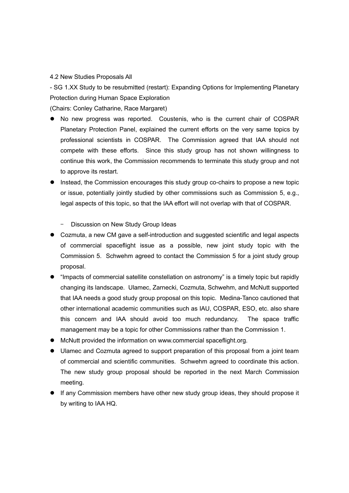#### 4.2 New Studies Proposals All

- SG 1.XX Study to be resubmitted (restart): Expanding Options for Implementing Planetary Protection during Human Space Exploration

(Chairs: Conley Catharine, Race Margaret)

- No new progress was reported. Coustenis, who is the current chair of COSPAR Planetary Protection Panel, explained the current efforts on the very same topics by professional scientists in COSPAR. The Commission agreed that IAA should not compete with these efforts. Since this study group has not shown willingness to continue this work, the Commission recommends to terminate this study group and not to approve its restart.
- **Instead, the Commission encourages this study group co-chairs to propose a new topic** or issue, potentially jointly studied by other commissions such as Commission 5, e.g., legal aspects of this topic, so that the IAA effort will not overlap with that of COSPAR.
	- Discussion on New Study Group Ideas
- Cozmuta, a new CM gave a self-introduction and suggested scientific and legal aspects of commercial spaceflight issue as a possible, new joint study topic with the Commission 5. Schwehm agreed to contact the Commission 5 for a joint study group proposal.
- "Impacts of commercial satellite constellation on astronomy" is a timely topic but rapidly changing its landscape. Ulamec, Zarnecki, Cozmuta, Schwehm, and McNutt supported that IAA needs a good study group proposal on this topic. Medina-Tanco cautioned that other international academic communities such as IAU, COSPAR, ESO, etc. also share this concern and IAA should avoid too much redundancy. The space traffic management may be a topic for other Commissions rather than the Commission 1.
- McNutt provided the information on www.commercial spaceflight.org.
- Ulamec and Cozmuta agreed to support preparation of this proposal from a joint team of commercial and scientific communities. Schwehm agreed to coordinate this action. The new study group proposal should be reported in the next March Commission meeting.
- If any Commission members have other new study group ideas, they should propose it by writing to IAA HQ.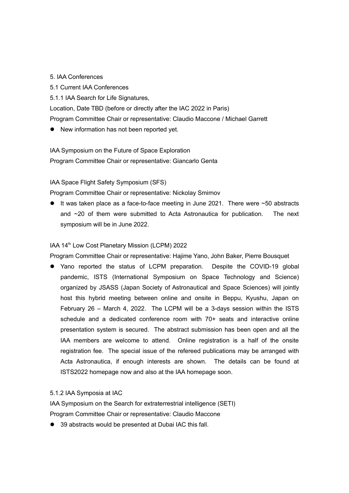#### 5. IAA Conferences

- 5.1 Current IAA Conferences
- 5.1.1 IAA Search for Life Signatures,

Location, Date TBD (before or directly after the IAC 2022 in Paris)

Program Committee Chair or representative: Claudio Maccone / Michael Garrett

New information has not been reported yet.

IAA Symposium on the Future of Space Exploration Program Committee Chair or representative: Giancarlo Genta

IAA Space Flight Safety Symposium (SFS)

Program Committee Chair or representative: Nickolay Smirnov

 $\bullet$  It was taken place as a face-to-face meeting in June 2021. There were  $\sim$ 50 abstracts and ~20 of them were submitted to Acta Astronautica for publication. The next symposium will be in June 2022.

#### IAA 14<sup>th</sup> Low Cost Planetary Mission (LCPM) 2022

Program Committee Chair or representative: Hajime Yano, John Baker, Pierre Bousquet

 Yano reported the status of LCPM preparation. Despite the COVID-19 global pandemic, ISTS (International Symposium on Space Technology and Science) organized by JSASS (Japan Society of Astronautical and Space Sciences) will jointly host this hybrid meeting between online and onsite in Beppu, Kyushu, Japan on February 26 – March 4, 2022. The LCPM will be a 3-days session within the ISTS schedule and a dedicated conference room with 70+ seats and interactive online presentation system is secured. The abstract submission has been open and all the IAA members are welcome to attend. Online registration is a half of the onsite registration fee. The special issue of the refereed publications may be arranged with Acta Astronautica, if enough interests are shown. The details can be found at ISTS2022 homepage now and also at the IAA homepage soon.

#### 5.1.2 IAA Symposia at IAC

IAA Symposium on the Search for extraterrestrial intelligence (SETI) Program Committee Chair or representative: Claudio Maccone

● 39 abstracts would be presented at Dubai IAC this fall.